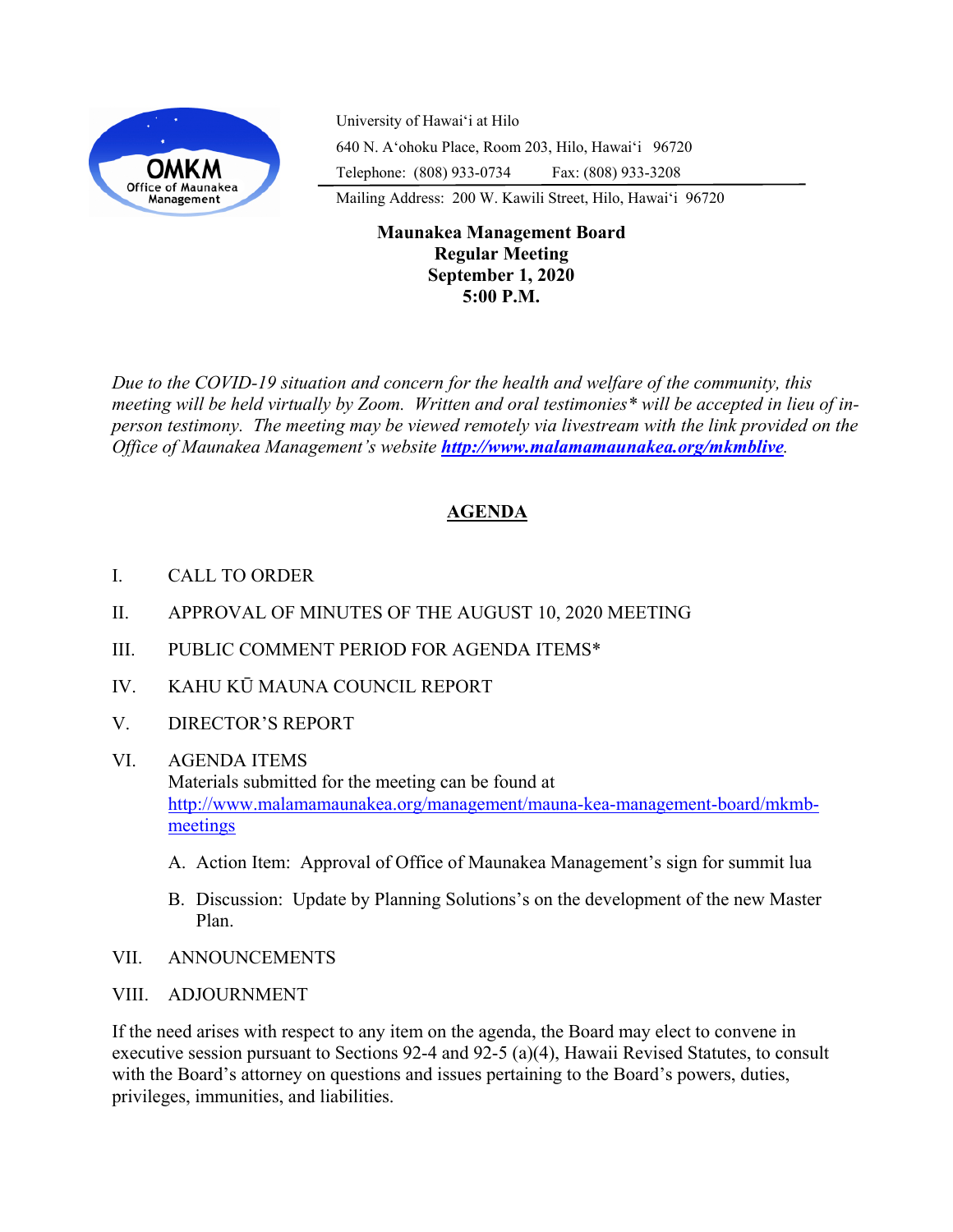

University of Hawaiʻi at Hilo 640 N. A'ohoku Place, Room 203, Hilo, Hawai'i 96720 Telephone: (808) 933-0734 Fax: (808) 933-3208

Mailing Address: 200 W. Kawili Street, Hilo, Hawai'i 96720

## **Maunakea Management Board Regular Meeting September 1, 2020 5:00 P.M.**

*Due to the COVID-19 situation and concern for the health and welfare of the community, this meeting will be held virtually by Zoom. Written and oral testimonies\* will be accepted in lieu of inperson testimony. The meeting may be viewed remotely via livestream with the link provided on the Office of Maunakea Management's website <http://www.malamamaunakea.org/mkmblive>.*

# **AGENDA**

- I. CALL TO ORDER
- II. APPROVAL OF MINUTES OF THE AUGUST 10, 2020 MEETING
- III. PUBLIC COMMENT PERIOD FOR AGENDA ITEMS\*
- IV. KAHU KŪ MAUNA COUNCIL REPORT
- V. DIRECTOR'S REPORT
- VI. AGENDA ITEMS Materials submitted for the meeting can be found at [http://www.malamamaunakea.org/management/mauna](http://www.malamamaunakea.org/management/mauna-kea-management-board/mkmb-meetings)-kea-management-board/mkmb[meetings](http://www.malamamaunakea.org/management/mauna-kea-management-board/mkmb-meetings)
	- A. Action Item: Approval of Office of Maunakea Management's sign for summit lua
	- B. Discussion: Update by Planning Solutions's on the development of the new Master Plan.
- VII. ANNOUNCEMENTS
- VIII. ADJOURNMENT

If the need arises with respect to any item on the agenda, the Board may elect to convene in executive session pursuant to Sections 92-4 and 92-5 (a)(4), Hawaii Revised Statutes, to consult with the Board's attorney on questions and issues pertaining to the Board's powers, duties, privileges, immunities, and liabilities.